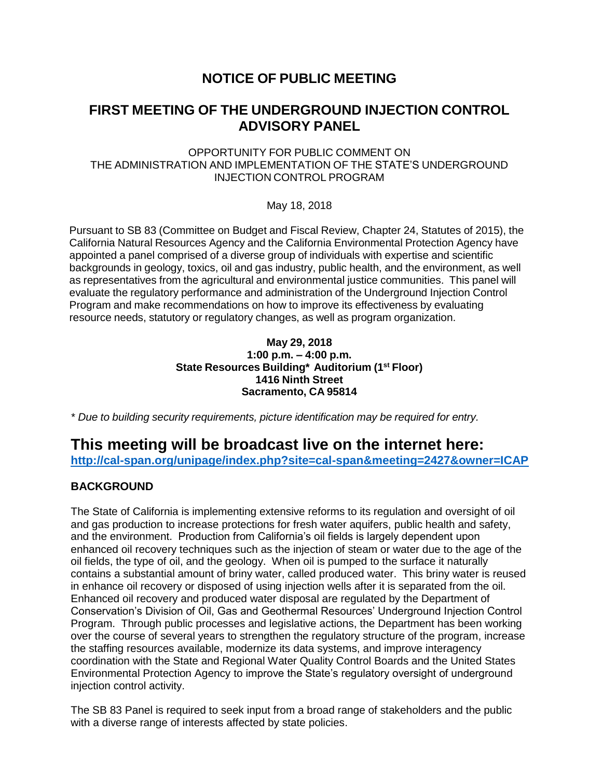## **NOTICE OF PUBLIC MEETING**

## **FIRST MEETING OF THE UNDERGROUND INJECTION CONTROL ADVISORY PANEL**

OPPORTUNITY FOR PUBLIC COMMENT ON THE ADMINISTRATION AND IMPLEMENTATION OF THE STATE'S UNDERGROUND INJECTION CONTROL PROGRAM

May 18, 2018

Pursuant to SB 83 (Committee on Budget and Fiscal Review, Chapter 24, Statutes of 2015), the California Natural Resources Agency and the California Environmental Protection Agency have appointed a panel comprised of a diverse group of individuals with expertise and scientific backgrounds in geology, toxics, oil and gas industry, public health, and the environment, as well as representatives from the agricultural and environmental justice communities. This panel will evaluate the regulatory performance and administration of the Underground Injection Control Program and make recommendations on how to improve its effectiveness by evaluating resource needs, statutory or regulatory changes, as well as program organization.

### **May 29, 2018 1:00 p.m. – 4:00 p.m. State Resources Building\* Auditorium (1st Floor) 1416 Ninth Street Sacramento, CA 95814**

*\* Due to building security requirements, picture identification may be required for entry.*

# **This meeting will be broadcast live on the internet here:**

**<http://cal-span.org/unipage/index.php?site=cal-span&meeting=2427&owner=ICAP>**

## **BACKGROUND**

The State of California is implementing extensive reforms to its regulation and oversight of oil and gas production to increase protections for fresh water aquifers, public health and safety, and the environment. Production from California's oil fields is largely dependent upon enhanced oil recovery techniques such as the injection of steam or water due to the age of the oil fields, the type of oil, and the geology. When oil is pumped to the surface it naturally contains a substantial amount of briny water, called produced water. This briny water is reused in enhance oil recovery or disposed of using injection wells after it is separated from the oil. Enhanced oil recovery and produced water disposal are regulated by the Department of Conservation's Division of Oil, Gas and Geothermal Resources' Underground Injection Control Program. Through public processes and legislative actions, the Department has been working over the course of several years to strengthen the regulatory structure of the program, increase the staffing resources available, modernize its data systems, and improve interagency coordination with the State and Regional Water Quality Control Boards and the United States Environmental Protection Agency to improve the State's regulatory oversight of underground injection control activity.

The SB 83 Panel is required to seek input from a broad range of stakeholders and the public with a diverse range of interests affected by state policies.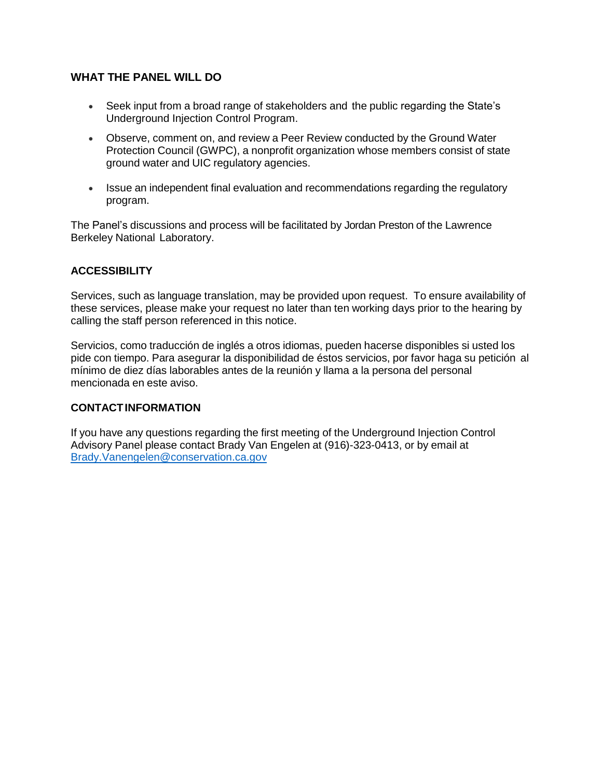## **WHAT THE PANEL WILL DO**

- Seek input from a broad range of stakeholders and the public regarding the State's Underground Injection Control Program.
- Observe, comment on, and review a Peer Review conducted by the Ground Water Protection Council (GWPC), a nonprofit organization whose members consist of state ground water and UIC regulatory agencies.
- Issue an independent final evaluation and recommendations regarding the regulatory program.

The Panel's discussions and process will be facilitated by Jordan Preston of the Lawrence Berkeley National Laboratory.

### **ACCESSIBILITY**

Services, such as language translation, may be provided upon request. To ensure availability of these services, please make your request no later than ten working days prior to the hearing by calling the staff person referenced in this notice.

Servicios, como traducción de inglés a otros idiomas, pueden hacerse disponibles si usted los pide con tiempo. Para asegurar la disponibilidad de éstos servicios, por favor haga su petición al mínimo de diez días laborables antes de la reunión y llama a la persona del personal mencionada en este aviso.

### **CONTACTINFORMATION**

If you have any questions regarding the first meeting of the Underground Injection Control Advisory Panel please contact Brady Van Engelen at (916)-323-0413, or by email at [Brady.Vanengelen@conservation.ca.gov](mailto:Brady.Vanengelen@conservation.ca.gov)